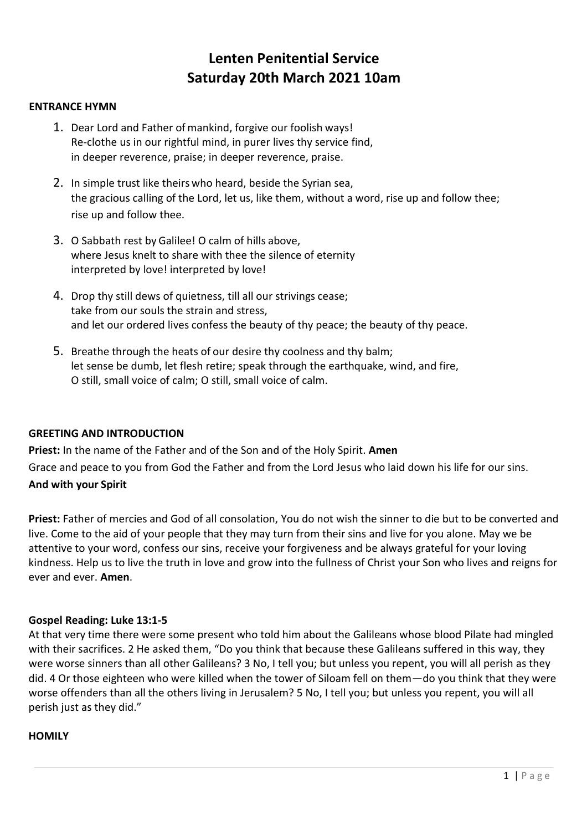# **Lenten Penitential Service Saturday 20th March 2021 10am**

#### **ENTRANCE HYMN**

- 1. Dear Lord and Father of mankind, forgive our foolish ways! Re-clothe us in our rightful mind, in purer lives thy service find, in deeper reverence, praise; in deeper reverence, praise.
- 2. In simple trust like theirs who heard, beside the Syrian sea, the gracious calling of the Lord, let us, like them, without a word, rise up and follow thee; rise up and follow thee.
- 3. O Sabbath rest by Galilee! O calm of hills above, where Jesus knelt to share with thee the silence of eternity interpreted by love! interpreted by love!
- 4. Drop thy still dews of quietness, till all our strivings cease; take from our souls the strain and stress, and let our ordered lives confess the beauty of thy peace; the beauty of thy peace.
- 5. Breathe through the heats of our desire thy coolness and thy balm; let sense be dumb, let flesh retire; speak through the earthquake, wind, and fire, O still, small voice of calm; O still, small voice of calm.

# **GREETING AND INTRODUCTION**

**Priest:** In the name of the Father and of the Son and of the Holy Spirit. **Amen** Grace and peace to you from God the Father and from the Lord Jesus who laid down his life for our sins. **And with your Spirit**

**Priest:** Father of mercies and God of all consolation, You do not wish the sinner to die but to be converted and live. Come to the aid of your people that they may turn from their sins and live for you alone. May we be attentive to your word, confess our sins, receive your forgiveness and be always grateful for your loving kindness. Help us to live the truth in love and grow into the fullness of Christ your Son who lives and reigns for ever and ever. **Amen**.

#### **Gospel Reading: Luke 13:1-5**

At that very time there were some present who told him about the Galileans whose blood Pilate had mingled with their sacrifices. 2 He asked them, "Do you think that because these Galileans suffered in this way, they were worse sinners than all other Galileans? 3 No, I tell you; but unless you repent, you will all perish as they did. 4 Or those eighteen who were killed when the tower of Siloam fell on them—do you think that they were worse offenders than all the others living in Jerusalem? 5 No, I tell you; but unless you repent, you will all perish just as they did."

#### **HOMILY**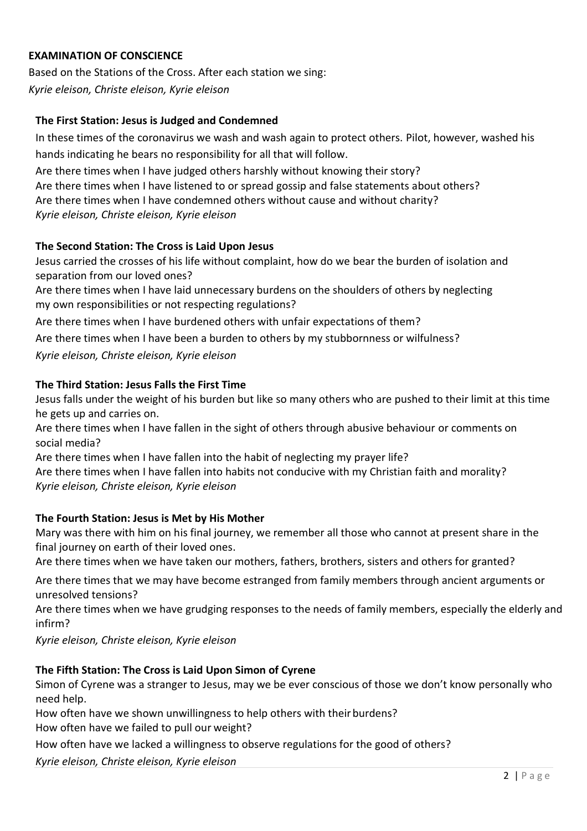# **EXAMINATION OF CONSCIENCE**

Based on the Stations of the Cross. After each station we sing: *Kyrie eleison, Christe eleison, Kyrie eleison*

## **The First Station: Jesus is Judged and Condemned**

In these times of the coronavirus we wash and wash again to protect others. Pilot, however, washed his hands indicating he bears no responsibility for all that will follow.

Are there times when I have judged others harshly without knowing their story? Are there times when I have listened to or spread gossip and false statements about others? Are there times when I have condemned others without cause and without charity? *Kyrie eleison, Christe eleison, Kyrie eleison*

#### **The Second Station: The Cross is Laid Upon Jesus**

Jesus carried the crosses of his life without complaint, how do we bear the burden of isolation and separation from our loved ones?

Are there times when I have laid unnecessary burdens on the shoulders of others by neglecting my own responsibilities or not respecting regulations?

Are there times when I have burdened others with unfair expectations of them?

Are there times when I have been a burden to others by my stubbornness or wilfulness?

*Kyrie eleison, Christe eleison, Kyrie eleison*

#### **The Third Station: Jesus Falls the First Time**

Jesus falls under the weight of his burden but like so many others who are pushed to their limit at this time he gets up and carries on.

Are there times when I have fallen in the sight of others through abusive behaviour or comments on social media?

Are there times when I have fallen into the habit of neglecting my prayer life? Are there times when I have fallen into habits not conducive with my Christian faith and morality? *Kyrie eleison, Christe eleison, Kyrie eleison*

# **The Fourth Station: Jesus is Met by His Mother**

Mary was there with him on his final journey, we remember all those who cannot at present share in the final journey on earth of their loved ones.

Are there times when we have taken our mothers, fathers, brothers, sisters and others for granted?

Are there times that we may have become estranged from family members through ancient arguments or unresolved tensions?

Are there times when we have grudging responses to the needs of family members, especially the elderly and infirm?

*Kyrie eleison, Christe eleison, Kyrie eleison*

#### **The Fifth Station: The Cross is Laid Upon Simon of Cyrene**

Simon of Cyrene was a stranger to Jesus, may we be ever conscious of those we don't know personally who need help.

How often have we shown unwillingness to help others with their burdens?

How often have we failed to pull our weight?

How often have we lacked a willingness to observe regulations for the good of others?

*Kyrie eleison, Christe eleison, Kyrie eleison*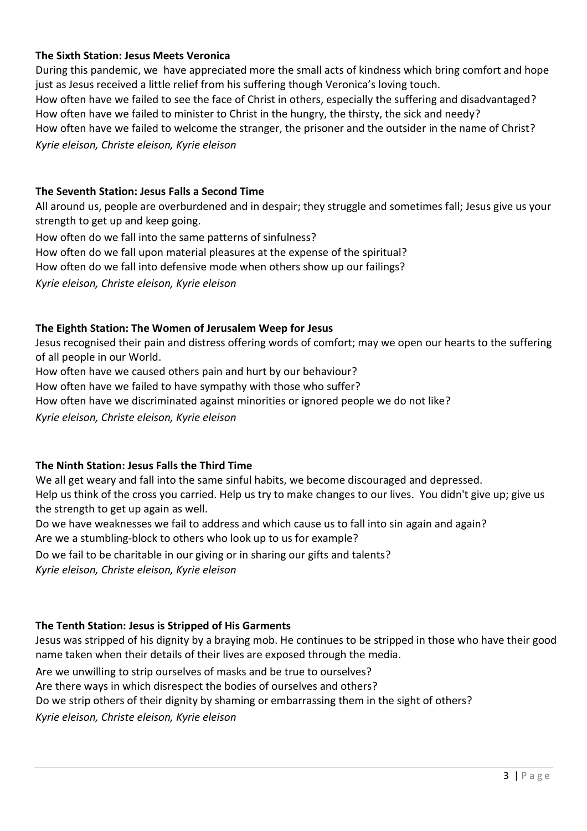## **The Sixth Station: Jesus Meets Veronica**

During this pandemic, we have appreciated more the small acts of kindness which bring comfort and hope just as Jesus received a little relief from his suffering though Veronica's loving touch. How often have we failed to see the face of Christ in others, especially the suffering and disadvantaged? How often have we failed to minister to Christ in the hungry, the thirsty, the sick and needy? How often have we failed to welcome the stranger, the prisoner and the outsider in the name of Christ? *Kyrie eleison, Christe eleison, Kyrie eleison*

#### **The Seventh Station: Jesus Falls a Second Time**

All around us, people are overburdened and in despair; they struggle and sometimes fall; Jesus give us your strength to get up and keep going.

How often do we fall into the same patterns of sinfulness? How often do we fall upon material pleasures at the expense of the spiritual? How often do we fall into defensive mode when others show up our failings? *Kyrie eleison, Christe eleison, Kyrie eleison*

#### **The Eighth Station: The Women of Jerusalem Weep for Jesus**

Jesus recognised their pain and distress offering words of comfort; may we open our hearts to the suffering of all people in our World.

How often have we caused others pain and hurt by our behaviour?

How often have we failed to have sympathy with those who suffer?

How often have we discriminated against minorities or ignored people we do not like?

*Kyrie eleison, Christe eleison, Kyrie eleison*

#### **The Ninth Station: Jesus Falls the Third Time**

We all get weary and fall into the same sinful habits, we become discouraged and depressed.

Help us think of the cross you carried. Help us try to make changes to our lives. You didn't give up; give us the strength to get up again as well.

Do we have weaknesses we fail to address and which cause us to fall into sin again and again? Are we a stumbling-block to others who look up to us for example?

Do we fail to be charitable in our giving or in sharing our gifts and talents?

*Kyrie eleison, Christe eleison, Kyrie eleison*

# **The Tenth Station: Jesus is Stripped of His Garments**

Jesus was stripped of his dignity by a braying mob. He continues to be stripped in those who have their good name taken when their details of their lives are exposed through the media.

Are we unwilling to strip ourselves of masks and be true to ourselves?

Are there ways in which disrespect the bodies of ourselves and others?

Do we strip others of their dignity by shaming or embarrassing them in the sight of others?

*Kyrie eleison, Christe eleison, Kyrie eleison*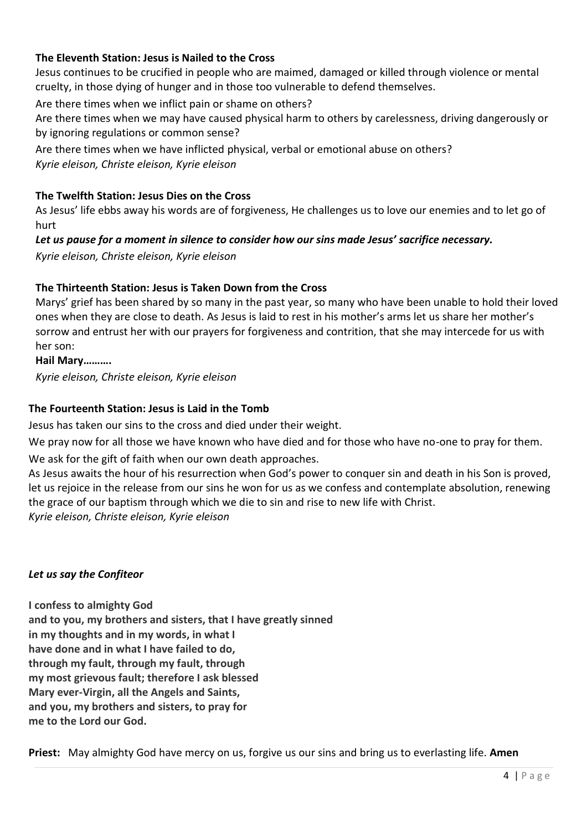# **The Eleventh Station: Jesus is Nailed to the Cross**

Jesus continues to be crucified in people who are maimed, damaged or killed through violence or mental cruelty, in those dying of hunger and in those too vulnerable to defend themselves.

Are there times when we inflict pain or shame on others?

Are there times when we may have caused physical harm to others by carelessness, driving dangerously or by ignoring regulations or common sense?

Are there times when we have inflicted physical, verbal or emotional abuse on others?

*Kyrie eleison, Christe eleison, Kyrie eleison*

# **The Twelfth Station: Jesus Dies on the Cross**

As Jesus' life ebbs away his words are of forgiveness, He challenges us to love our enemies and to let go of hurt

# *Let us pause for a moment in silence to consider how our sins made Jesus' sacrifice necessary.*

*Kyrie eleison, Christe eleison, Kyrie eleison*

# **The Thirteenth Station: Jesus is Taken Down from the Cross**

Marys' grief has been shared by so many in the past year, so many who have been unable to hold their loved ones when they are close to death. As Jesus is laid to rest in his mother's arms let us share her mother's sorrow and entrust her with our prayers for forgiveness and contrition, that she may intercede for us with her son:

**Hail Mary……….**

*Kyrie eleison, Christe eleison, Kyrie eleison*

# **The Fourteenth Station: Jesus is Laid in the Tomb**

Jesus has taken our sins to the cross and died under their weight.

We pray now for all those we have known who have died and for those who have no-one to pray for them.

We ask for the gift of faith when our own death approaches.

As Jesus awaits the hour of his resurrection when God's power to conquer sin and death in his Son is proved, let us rejoice in the release from our sins he won for us as we confess and contemplate absolution, renewing the grace of our baptism through which we die to sin and rise to new life with Christ. *Kyrie eleison, Christe eleison, Kyrie eleison* 

# *Let us say the Confiteor*

**I confess to almighty God**

**and to you, my brothers and sisters, that I have greatly sinned in my thoughts and in my words, in what I have done and in what I have failed to do, through my fault, through my fault, through my most grievous fault; therefore I ask blessed Mary ever-Virgin, all the Angels and Saints, and you, my brothers and sisters, to pray for me to the Lord our God.**

**Priest:** May almighty God have mercy on us, forgive us our sins and bring us to everlasting life. **Amen**